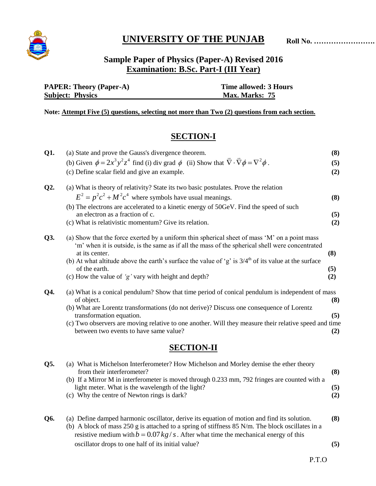

# **UNIVERSITY OF THE PUNJAB**

## **Sample Paper of Physics (Paper-A) Revised 2016 Examination: B.Sc. Part-I (III Year)**

| <b>PAPER: Theory (Paper-A)</b> | Time allowed: 3 Hours |
|--------------------------------|-----------------------|
| <b>Subject: Physics</b>        | Max. Marks: 75        |

**Note: Attempt Five (5) questions, selecting not more than Two (2) questions from each section.**

## **SECTION-I**

| Q1.    | (a) State and prove the Gauss's divergence theorem.                                                                                                                                              | (8) |
|--------|--------------------------------------------------------------------------------------------------------------------------------------------------------------------------------------------------|-----|
|        | (b) Given $\phi = 2x^3y^2z^4$ find (i) div grad $\phi$ (ii) Show that $\overline{\nabla} \cdot \overline{\nabla} \phi = \nabla^2 \phi$ .                                                         | (5) |
|        | (c) Define scalar field and give an example.                                                                                                                                                     | (2) |
| $Q2$ . | (a) What is theory of relativity? State its two basic postulates. Prove the relation                                                                                                             |     |
|        | $E^2 = p^2c^2 + M^2c^4$ where symbols have usual meanings.                                                                                                                                       | (8) |
|        | (b) The electrons are accelerated to a kinetic energy of 50GeV. Find the speed of such                                                                                                           |     |
|        | an electron as a fraction of c.                                                                                                                                                                  | (5) |
|        | (c) What is relativistic momentum? Give its relation.                                                                                                                                            | (2) |
| Q3.    | (a) Show that the force exerted by a uniform thin spherical sheet of mass 'M' on a point mass<br>'m' when it is outside, is the same as if all the mass of the spherical shell were concentrated |     |
|        | at its center.                                                                                                                                                                                   | (8) |
|        | (b) At what altitude above the earth's surface the value of 'g' is $3/4th$ of its value at the surface                                                                                           |     |
|        | of the earth.                                                                                                                                                                                    | (5) |
|        | (c) How the value of $'g'$ vary with height and depth?                                                                                                                                           | (2) |
| Q4.    | (a) What is a conical pendulum? Show that time period of conical pendulum is independent of mass<br>of object.                                                                                   | (8) |
|        | (b) What are Lorentz transformations (do not derive)? Discuss one consequence of Lorentz<br>transformation equation.                                                                             | (5) |
|        | (c) Two observers are moving relative to one another. Will they measure their relative speed and time                                                                                            |     |
|        | between two events to have same value?                                                                                                                                                           | (2) |
|        |                                                                                                                                                                                                  |     |

### **SECTION-II**

| Q5. | (a) What is Michelson Interferometer? How Michelson and Morley demise the ether theory<br>from their interferometer?                                                                              |            |
|-----|---------------------------------------------------------------------------------------------------------------------------------------------------------------------------------------------------|------------|
|     | (b) If a Mirror M in interferometer is moved through 0.233 mm, 792 fringes are counted with a<br>light meter. What is the wavelength of the light?<br>(c) Why the centre of Newton rings is dark? | (5)<br>(2) |
| Q6. | (a) Define damped harmonic oscillator, derive its equation of motion and find its solution.                                                                                                       | (8)        |

(b) A block of mass 250 g is attached to a spring of stiffness 85 N/m. The block oscillates in a resistive medium with  $b = 0.07 kg/s$ . After what time the mechanical energy of this oscillator drops to one half of its initial value? **(5)**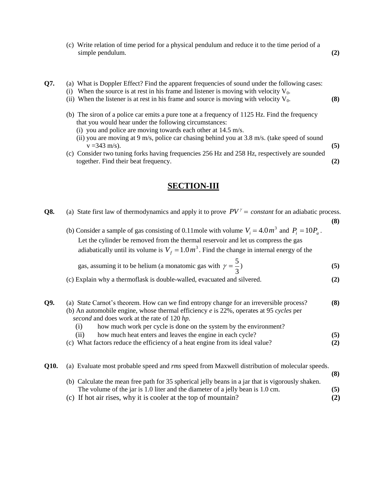- (c) Write relation of time period for a physical pendulum and reduce it to the time period of a simple pendulum. **(2) (2)**
- **Q7.** (a) What is Doppler Effect? Find the apparent frequencies of sound under the following cases:
	- (i) When the source is at rest in his frame and listener is moving with velocity  $V_0$ .
	- (ii) When the listener is at rest in his frame and source is moving with velocity  $V_0$ .  $(8)$
	- (b) The siron of a police car emits a pure tone at a frequency of 1125 Hz. Find the frequency that you would hear under the following circumstances:
		- (i) you and police are moving towards each other at 14.5 m/s.

gas, assuming it to

- (ii) you are moving at 9 m/s, police car chasing behind you at 3.8 m/s. (take speed of sound  $v = 343 \text{ m/s}.$  (5)
- (c) Consider two tuning forks having frequencies 256 Hz and 258 Hz, respectively are sounded together. Find their beat frequency. **(2)**

#### **SECTION-III**

**Q8.** (a) State first law of thermodynamics and apply it to prove  $PV^{\gamma} = constant$  for an adiabatic process.  **(8)**

(b) Consider a sample of gas consisting of 0.11mole with volume  $V_i = 4.0 m^3$  and  $P_i = 10 P_a$ . Let the cylinder be removed from the thermal reservoir and let us compress the gas adiabatically until its volume is  $V_f = 1.0 m^3$ . Find the change in internal energy of the

be helium (a monatomic gas with 
$$
\gamma = \frac{5}{3}
$$
) (5)

- (c) Explain why a thermoflask is double-walled, evacuated and silvered. **(2)**
- **Q9.** (a) State Carnot's theorem. How can we find entropy change for an irreversible process? **(8)** (b) An automobile engine, whose thermal efficiency *e* is 22%, operates at 95 *cycles* per *second* and does work at the rate of 120 *hp.*
	- (i) how much work per cycle is done on the system by the environment?
	- (ii) how much heat enters and leaves the engine in each cycle? **(5)**
	- (c) What factors reduce the efficiency of a heat engine from its ideal value? **(2)**
- **Q10.** (a) Evaluate most probable speed and *rms* speed from Maxwell distribution of molecular speeds.
	- **(8)** (b) Calculate the mean free path for 35 spherical jelly beans in a jar that is vigorously shaken. The volume of the jar is 1.0 liter and the diameter of a jelly bean is 1.0 cm. **(5)** (c) If hot air rises, why it is cooler at the top of mountain? **(2)**
		-